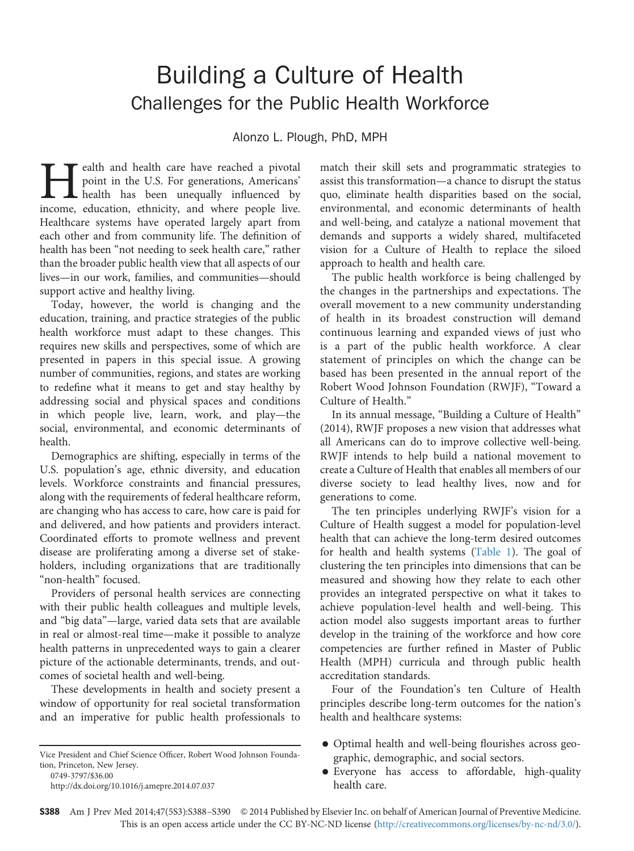# Building a Culture of Health Challenges for the Public Health Workforce

Alonzo L. Plough, PhD, MPH

realth and health care have reached a pivotal point in the U.S. For generations, Americans' **L** health has been unequally influenced by income, education, ethnicity, and where people live. Healthcare systems have operated largely apart from each other and from community life. The definition of health has been "not needing to seek health care," rather than the broader public health view that all aspects of our lives—in our work, families, and communities—should support active and healthy living.

Today, however, the world is changing and the education, training, and practice strategies of the public health workforce must adapt to these changes. This requires new skills and perspectives, some of which are presented in papers in this special issue. A growing number of communities, regions, and states are working to redefine what it means to get and stay healthy by addressing social and physical spaces and conditions in which people live, learn, work, and play—the social, environmental, and economic determinants of health.

Demographics are shifting, especially in terms of the U.S. population's age, ethnic diversity, and education levels. Workforce constraints and financial pressures, along with the requirements of federal healthcare reform, are changing who has access to care, how care is paid for and delivered, and how patients and providers interact. Coordinated efforts to promote wellness and prevent disease are proliferating among a diverse set of stakeholders, including organizations that are traditionally "non-health" focused.

Providers of personal health services are connecting with their public health colleagues and multiple levels, and "big data"—large, varied data sets that are available in real or almost-real time—make it possible to analyze health patterns in unprecedented ways to gain a clearer picture of the actionable determinants, trends, and outcomes of societal health and well-being.

These developments in health and society present a window of opportunity for real societal transformation and an imperative for public health professionals to match their skill sets and programmatic strategies to assist this transformation—a chance to disrupt the status quo, eliminate health disparities based on the social, environmental, and economic determinants of health and well-being, and catalyze a national movement that demands and supports a widely shared, multifaceted vision for a Culture of Health to replace the siloed approach to health and health care.

The public health workforce is being challenged by the changes in the partnerships and expectations. The overall movement to a new community understanding of health in its broadest construction will demand continuous learning and expanded views of just who is a part of the public health workforce. A clear statement of principles on which the change can be based has been presented in the annual report of the Robert Wood Johnson Foundation (RWJF), "Toward a Culture of Health."

In its annual message, "Building a Culture of Health" (2014), RWJF proposes a new vision that addresses what all Americans can do to improve collective well-being. RWJF intends to help build a national movement to create a Culture of Health that enables all members of our diverse society to lead healthy lives, now and for generations to come.

The ten principles underlying RWJF's vision for a Culture of Health suggest a model for population-level health that can achieve the long-term desired outcomes for health and health systems ([Table 1](#page-1-0)). The goal of clustering the ten principles into dimensions that can be measured and showing how they relate to each other provides an integrated perspective on what it takes to achieve population-level health and well-being. This action model also suggests important areas to further develop in the training of the workforce and how core competencies are further refined in Master of Public Health (MPH) curricula and through public health accreditation standards.

Four of the Foundation's ten Culture of Health principles describe long-term outcomes for the nation's health and healthcare systems:

- Optimal health and well-being flourishes across geographic, demographic, and social sectors.
- Everyone has access to affordable, high-quality health care.

Vice President and Chief Science Officer, Robert Wood Johnson Foundation, Princeton, New Jersey.

<sup>0749-3797/\$36.00</sup>

[http://dx.doi.org/10.1016/j.amepre.2014.07.037](dx.doi.org/10.1016/j.amepre.2014.07.037)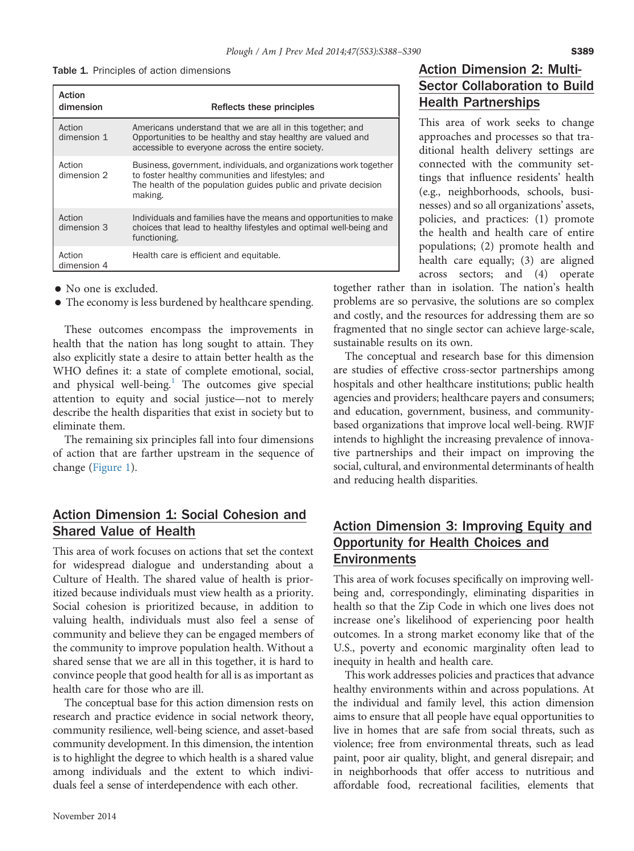<span id="page-1-0"></span>

|  |  |  | <b>Table 1.</b> Principles of action dimensions |
|--|--|--|-------------------------------------------------|
|--|--|--|-------------------------------------------------|

| Action<br>dimension   | Reflects these principles                                                                                                                                                                             |
|-----------------------|-------------------------------------------------------------------------------------------------------------------------------------------------------------------------------------------------------|
| Action<br>dimension 1 | Americans understand that we are all in this together; and<br>Opportunities to be healthy and stay healthy are valued and<br>accessible to everyone across the entire society.                        |
| Action<br>dimension 2 | Business, government, individuals, and organizations work together<br>to foster healthy communities and lifestyles; and<br>The health of the population guides public and private decision<br>making. |
| Action<br>dimension 3 | Individuals and families have the means and opportunities to make<br>choices that lead to healthy lifestyles and optimal well-being and<br>functioning.                                               |
| Action<br>dimension 4 | Health care is efficient and equitable.                                                                                                                                                               |

- No one is excluded.
- The economy is less burdened by healthcare spending.

These outcomes encompass the improvements in health that the nation has long sought to attain. They also explicitly state a desire to attain better health as the WHO defines it: a state of complete emotional, social, and physical well-being.<sup>1</sup> The outcomes give special attention to equity and social justice—not to merely describe the health disparities that exist in society but to eliminate them.

The remaining six principles fall into four dimensions of action that are farther upstream in the sequence of change [\(Figure 1\)](#page-2-0).

#### Action Dimension 1: Social Cohesion and Shared Value of Health

This area of work focuses on actions that set the context for widespread dialogue and understanding about a Culture of Health. The shared value of health is prioritized because individuals must view health as a priority. Social cohesion is prioritized because, in addition to valuing health, individuals must also feel a sense of community and believe they can be engaged members of the community to improve population health. Without a shared sense that we are all in this together, it is hard to convince people that good health for all is as important as health care for those who are ill.

The conceptual base for this action dimension rests on research and practice evidence in social network theory, community resilience, well-being science, and asset-based community development. In this dimension, the intention is to highlight the degree to which health is a shared value among individuals and the extent to which individuals feel a sense of interdependence with each other.

This area of work seeks to change approaches and processes so that traditional health delivery settings are connected with the community settings that influence residents' health (e.g., neighborhoods, schools, businesses) and so all organizations' assets, policies, and practices: (1) promote the health and health care of entire populations; (2) promote health and health care equally; (3) are aligned across sectors; and (4) operate

together rather than in isolation. The nation's health problems are so pervasive, the solutions are so complex and costly, and the resources for addressing them are so fragmented that no single sector can achieve large-scale, sustainable results on its own.

The conceptual and research base for this dimension are studies of effective cross-sector partnerships among hospitals and other healthcare institutions; public health agencies and providers; healthcare payers and consumers; and education, government, business, and communitybased organizations that improve local well-being. RWJF intends to highlight the increasing prevalence of innovative partnerships and their impact on improving the social, cultural, and environmental determinants of health and reducing health disparities.

## Action Dimension 3: Improving Equity and Opportunity for Health Choices and **Environments**

This area of work focuses specifically on improving wellbeing and, correspondingly, eliminating disparities in health so that the Zip Code in which one lives does not increase one's likelihood of experiencing poor health outcomes. In a strong market economy like that of the U.S., poverty and economic marginality often lead to inequity in health and health care.

This work addresses policies and practices that advance healthy environments within and across populations. At the individual and family level, this action dimension aims to ensure that all people have equal opportunities to live in homes that are safe from social threats, such as violence; free from environmental threats, such as lead paint, poor air quality, blight, and general disrepair; and in neighborhoods that offer access to nutritious and affordable food, recreational facilities, elements that